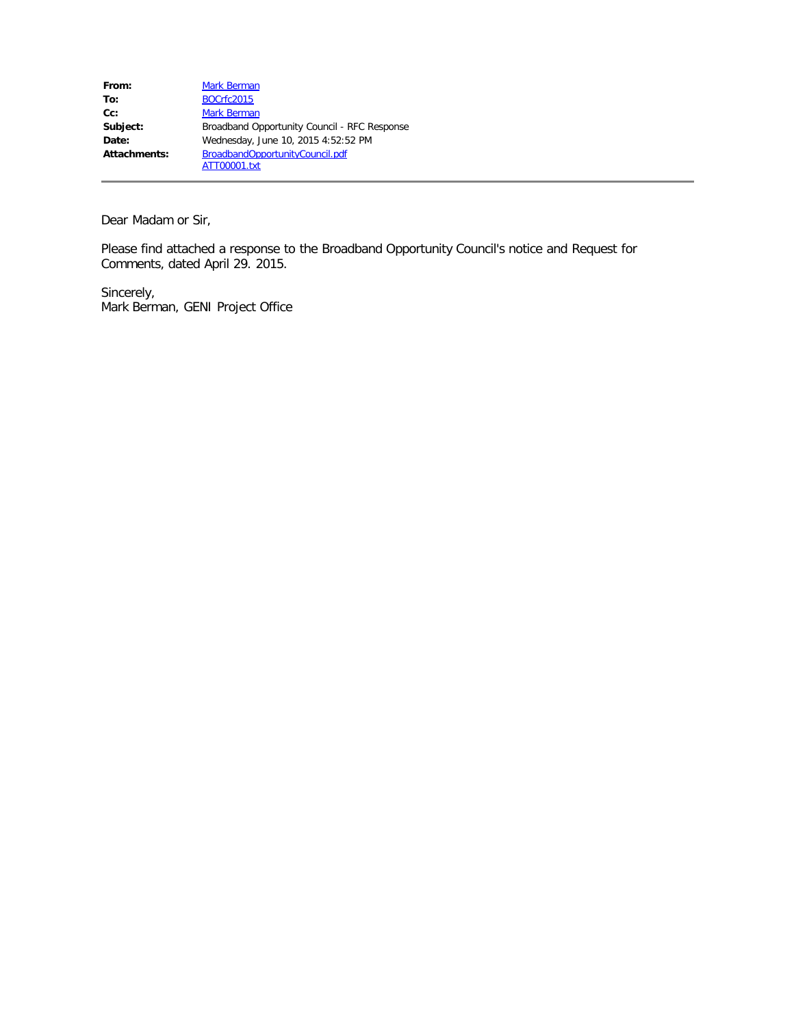| From:        | <b>Mark Berman</b>                           |
|--------------|----------------------------------------------|
| To:          | <b>BOCrfc2015</b>                            |
| $Cc$ :       | <b>Mark Berman</b>                           |
| Subject:     | Broadband Opportunity Council - RFC Response |
| Date:        | Wednesday, June 10, 2015 4:52:52 PM          |
| Attachments: | BroadbandOpportunityCouncil.pdf              |
|              | ATT00001.txt                                 |

Dear Madam or Sir,

Please find attached a response to the Broadband Opportunity Council's notice and Request for Comments, dated April 29. 2015.

Sincerely, Mark Berman, GENI Project Office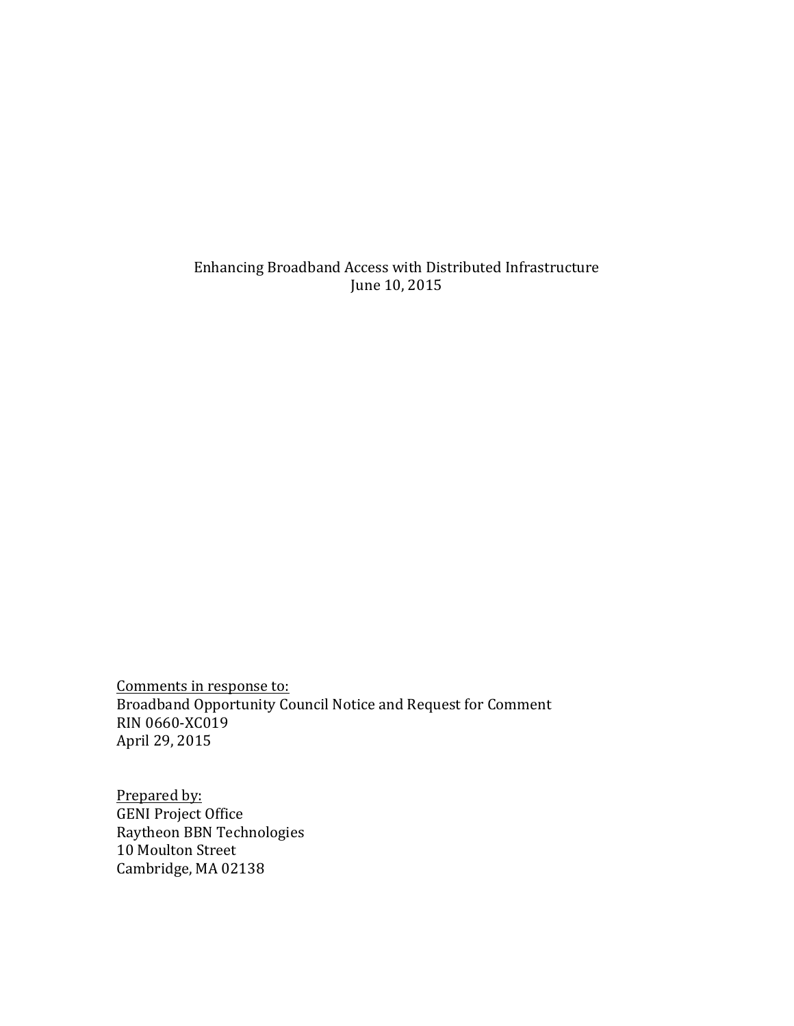Enhancing Broadband Access with Distributed Infrastructure June 10, 2015

Comments in response to: Broadband Opportunity Council Notice and Request for Comment RIN 0660-XC019 April 29, 2015

Prepared by: **GENI Project Office** Raytheon BBN Technologies 10 Moulton Street Cambridge, MA 02138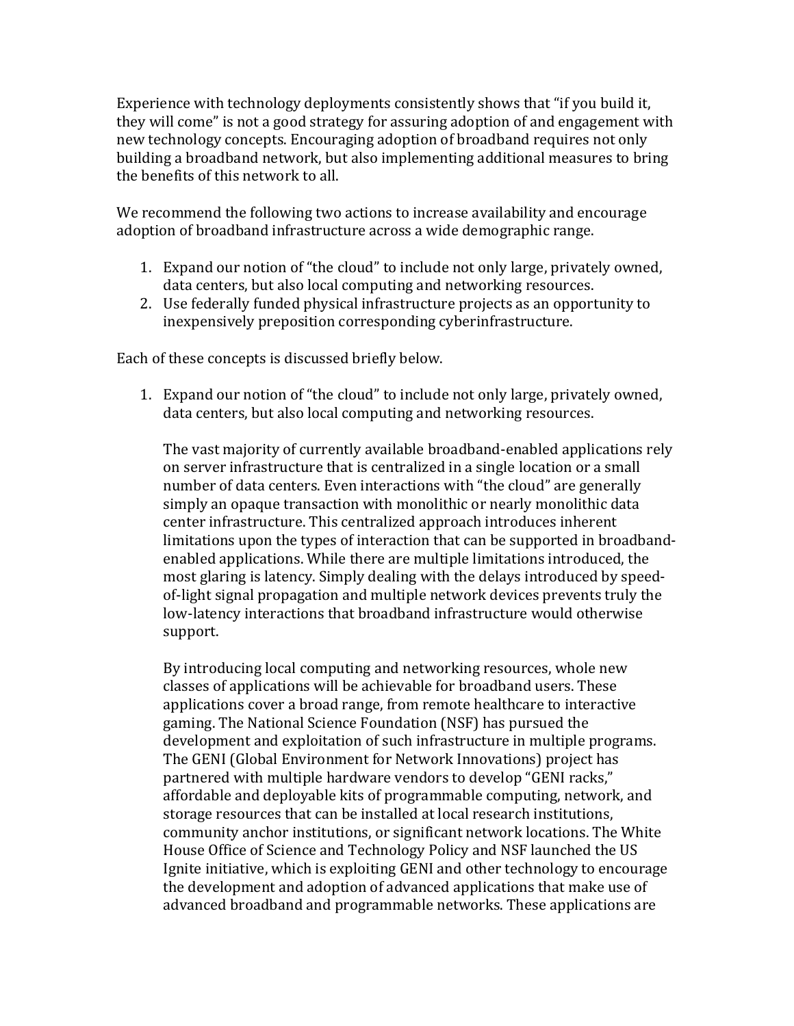Experience with technology deployments consistently shows that "if you build it, they will come" is not a good strategy for assuring adoption of and engagement with new technology concepts. Encouraging adoption of broadband requires not only building a broadband network, but also implementing additional measures to bring the benefits of this network to all.

We recommend the following two actions to increase availability and encourage adoption of broadband infrastructure across a wide demographic range.

- 1. Expand our notion of "the cloud" to include not only large, privately owned, data centers, but also local computing and networking resources.
- 2. Use federally funded physical infrastructure projects as an opportunity to inexpensively preposition corresponding cyberinfrastructure.

Each of these concepts is discussed briefly below.

1. Expand our notion of "the cloud" to include not only large, privately owned, data centers, but also local computing and networking resources.

The vast majority of currently available broadband-enabled applications rely on server infrastructure that is centralized in a single location or a small number of data centers. Even interactions with "the cloud" are generally simply an opaque transaction with monolithic or nearly monolithic data center infrastructure. This centralized approach introduces inherent limitations upon the types of interaction that can be supported in broadbandenabled applications. While there are multiple limitations introduced, the most glaring is latency. Simply dealing with the delays introduced by speedof-light signal propagation and multiple network devices prevents truly the low-latency interactions that broadband infrastructure would otherwise support.

By introducing local computing and networking resources, whole new classes of applications will be achievable for broadband users. These applications cover a broad range, from remote healthcare to interactive gaming. The National Science Foundation (NSF) has pursued the development and exploitation of such infrastructure in multiple programs. The GENI (Global Environment for Network Innovations) project has partnered with multiple hardware vendors to develop "GENI racks," affordable and deployable kits of programmable computing, network, and storage resources that can be installed at local research institutions, community anchor institutions, or significant network locations. The White House Office of Science and Technology Policy and NSF launched the US Ignite initiative, which is exploiting GENI and other technology to encourage the development and adoption of advanced applications that make use of advanced broadband and programmable networks. These applications are